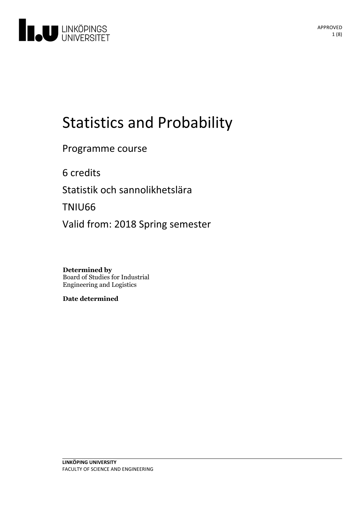

# Statistics and Probability

Programme course

6 credits

Statistik och sannolikhetslära

TNIU66

Valid from: 2018 Spring semester

**Determined by** Board of Studies for Industrial Engineering and Logistics

**Date determined**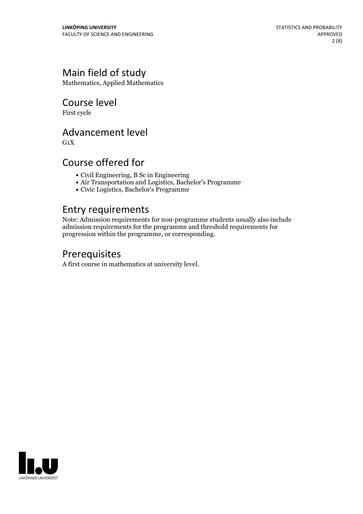# Main field of study

Mathematics, Applied Mathematics

Course level

First cycle

### Advancement level

 $G_1X$ 

## Course offered for

- Civil Engineering, B Sc in Engineering
- Air Transportation and Logistics, Bachelor's Programme
- Civic Logistics, Bachelor's Programme

### Entry requirements

Note: Admission requirements for non-programme students usually also include admission requirements for the programme and threshold requirements for progression within the programme, or corresponding.

## Prerequisites

A first course in mathematics at university level.

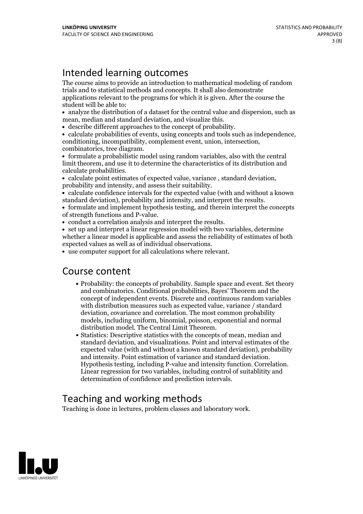# Intended learning outcomes

The course aims to provide an introduction to mathematical modeling of random trials and to statistical methods and concepts. It shall also demonstrate applications relevant to the programs for which it is given. After the course the student will be able to:

- analyze the distribution of a dataset for the central value and dispersion, such as
- 

mean, median and standard deviation, and visualize this.<br>
• describe different approaches to the concept of probability.<br>
• calculate probabilities of events, using concepts and tools such as independence,<br>
conditioning, i

limit theorem, and use it to determine the characteristics of its distribution and

• calculate point estimates of expected value, variance , standard deviation,<br>probability and intensity, and assess their suitability.<br>• calculate confidence intervals for the expected value (with and without a known

- standard deviation), probability and intensity, and interpret the results.<br>• formulate and implement hypothesis testing, and therein interpret the concepts
- of strength functions and P-value.<br>• conduct a correlation analysis and interpret the results.<br>• set up and interpret a linear regression model with two variables, determine
- 

whether a linear model is applicable and assess the reliability of estimates of both

 $\bullet$  use computer support for all calculations where relevant.

### Course content

- Probability: the concepts of probability. Sample space and event. Set theory and combinatorics. Conditional probabilities, Bayes' Theorem and the concept of independent events. Discrete and continuous random variables with distribution measures such as expected value, variance / standard deviation, covariance and correlation. The most common probability models, including uniform, binomial, poisson, exponential and normal distribution model. The Central Limit Theorem.<br>• Statistics: Descriptive statistics with the concepts of mean, median and
- standard deviation, and visualizations. Point and interval estimates of the expected value (with and without a known standard deviation), probability and intensity. Point estimation of variance and standard deviation. Hypothesis testing, including P-value and intensity function. Correlation. Linear regression for two variables, including control of suitablitity and determination of confidence and prediction intervals.

# Teaching and working methods

Teaching is done in lectures, problem classes and laboratory work.

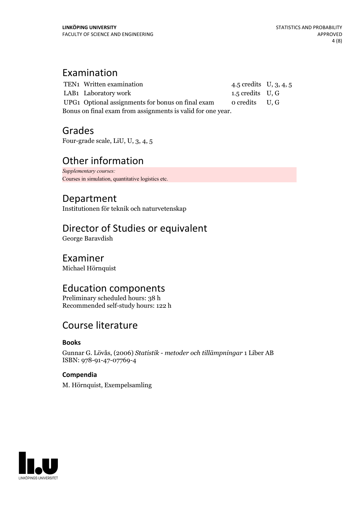### Examination

TEN1 Written examination 4.5 credits U, 3, 4, 5 LAB1 Laboratory work 1.5 credits U, G UPG1 Optional assignments for bonus on final exam o credits U, G Bonus on final exam from assignments is valid for one year.

Grades

Four-grade scale, LiU, U, 3, 4, 5

# Other information

*Supplementary courses:* Courses in simulation, quantitative logistics etc.

# Department

Institutionen för teknik och naturvetenskap

## Director of Studies or equivalent

George Baravdish

### Examiner

Michael Hörnquist

# Education components

Preliminary scheduled hours: 38 h Recommended self-study hours: 122 h

# Course literature

### **Books**

Gunnar G. Lövås, (2006) *Statistik - metoder och tillämpningar* 1 Liber AB ISBN: 978-91-47-07769-4

### **Compendia**

M. Hörnquist, Exempelsamling

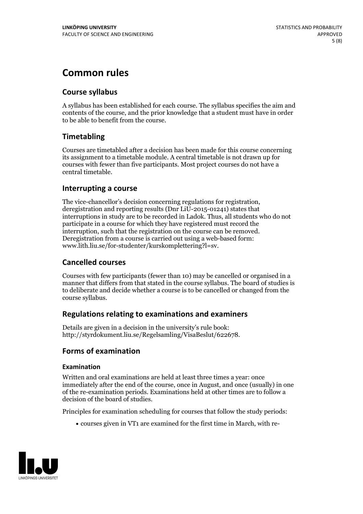# **Common rules**

### **Course syllabus**

A syllabus has been established for each course. The syllabus specifies the aim and contents of the course, and the prior knowledge that a student must have in order to be able to benefit from the course.

### **Timetabling**

Courses are timetabled after a decision has been made for this course concerning its assignment to a timetable module. A central timetable is not drawn up for courses with fewer than five participants. Most project courses do not have a central timetable.

### **Interrupting a course**

The vice-chancellor's decision concerning regulations for registration, deregistration and reporting results (Dnr LiU-2015-01241) states that interruptions in study are to be recorded in Ladok. Thus, all students who do not participate in a course for which they have registered must record the interruption, such that the registration on the course can be removed. Deregistration from <sup>a</sup> course is carried outusing <sup>a</sup> web-based form: www.lith.liu.se/for-studenter/kurskomplettering?l=sv.

### **Cancelled courses**

Courses with few participants (fewer than 10) may be cancelled or organised in a manner that differs from that stated in the course syllabus. The board of studies is to deliberate and decide whether a course is to be cancelled orchanged from the course syllabus.

### **Regulations relatingto examinations and examiners**

Details are given in a decision in the university's rule book: http://styrdokument.liu.se/Regelsamling/VisaBeslut/622678.

### **Forms of examination**

#### **Examination**

Written and oral examinations are held at least three times a year: once immediately after the end of the course, once in August, and once (usually) in one of the re-examination periods. Examinations held at other times are to follow a decision of the board of studies.

Principles for examination scheduling for courses that follow the study periods:

courses given in VT1 are examined for the first time in March, with re-

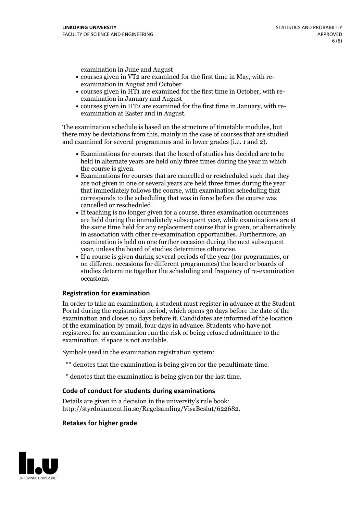examination in June and August

- courses given in VT2 are examined for the first time in May, with re-examination in August and October
- courses given in HT1 are examined for the first time in October, with re-examination in January and August
- courses given in HT2 are examined for the first time in January, with re-examination at Easter and in August.

The examination schedule is based on the structure of timetable modules, but there may be deviations from this, mainly in the case of courses that are studied and examined for several programmes and in lower grades (i.e. 1 and 2).

- Examinations for courses that the board of studies has decided are to be held in alternate years are held only three times during the year in which
- the course is given.<br>• Examinations for courses that are cancelled or rescheduled such that they are not given in one or several years are held three times during the year that immediately follows the course, with examination scheduling that corresponds to the scheduling that was in force before the course was cancelled or rescheduled.<br>• If teaching is no longer given for a course, three examination occurrences
- are held during the immediately subsequent year, while examinations are at the same time held for any replacement course that is given, or alternatively in association with other re-examination opportunities. Furthermore, an examination is held on one further occasion during the next subsequent year, unless the board of studies determines otherwise.<br>• If a course is given during several periods of the year (for programmes, or
- on different occasions for different programmes) the board orboards of studies determine together the scheduling and frequency of re-examination occasions.

#### **Registration for examination**

In order to take an examination, a student must register in advance at the Student Portal during the registration period, which opens 30 days before the date of the examination and closes 10 days before it. Candidates are informed of the location of the examination by email, four days in advance. Students who have not registered for an examination run the risk of being refused admittance to the examination, if space is not available.

Symbols used in the examination registration system:

- \*\* denotes that the examination is being given for the penultimate time.
- \* denotes that the examination is being given for the last time.

#### **Code of conduct for students during examinations**

Details are given in a decision in the university's rule book: http://styrdokument.liu.se/Regelsamling/VisaBeslut/622682.

#### **Retakes for higher grade**

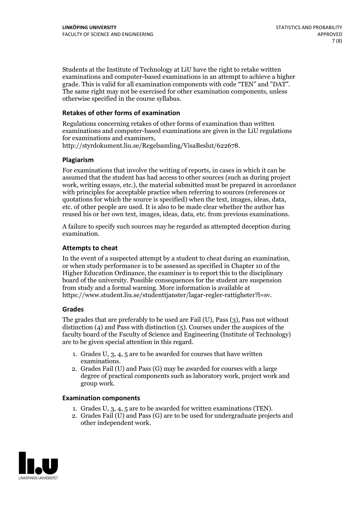Students at the Institute of Technology at LiU have the right to retake written examinations and computer-based examinations in an attempt to achieve a higher grade. This is valid for all examination components with code "TEN" and "DAT". The same right may not be exercised for other examination components, unless otherwise specified in the course syllabus.

#### **Retakes of other forms of examination**

Regulations concerning retakes of other forms of examination than written examinations and computer-based examinations are given in the LiU regulations for examinations and examiners, http://styrdokument.liu.se/Regelsamling/VisaBeslut/622678.

#### **Plagiarism**

For examinations that involve the writing of reports, in cases in which it can be assumed that the student has had access to other sources (such as during project work, writing essays, etc.), the material submitted must be prepared in accordance with principles for acceptable practice when referring to sources (references or quotations for which the source is specified) when the text, images, ideas, data, etc. of other people are used. It is also to be made clear whether the author has reused his or her own text, images, ideas, data, etc. from previous examinations.

A failure to specify such sources may be regarded as attempted deception during examination.

#### **Attempts to cheat**

In the event of <sup>a</sup> suspected attempt by <sup>a</sup> student to cheat during an examination, or when study performance is to be assessed as specified in Chapter <sup>10</sup> of the Higher Education Ordinance, the examiner is to report this to the disciplinary board of the university. Possible consequences for the student are suspension from study and a formal warning. More information is available at https://www.student.liu.se/studenttjanster/lagar-regler-rattigheter?l=sv.

#### **Grades**

The grades that are preferably to be used are Fail (U), Pass (3), Pass not without distinction  $(4)$  and Pass with distinction  $(5)$ . Courses under the auspices of the faculty board of the Faculty of Science and Engineering (Institute of Technology) are to be given special attention in this regard.

- 1. Grades U, 3, 4, 5 are to be awarded for courses that have written
- examinations. 2. Grades Fail (U) and Pass (G) may be awarded for courses with <sup>a</sup> large degree of practical components such as laboratory work, project work and group work.

#### **Examination components**

- 
- 1. Grades U, 3, 4, <sup>5</sup> are to be awarded for written examinations (TEN). 2. Grades Fail (U) and Pass (G) are to be used for undergraduate projects and other independent work.